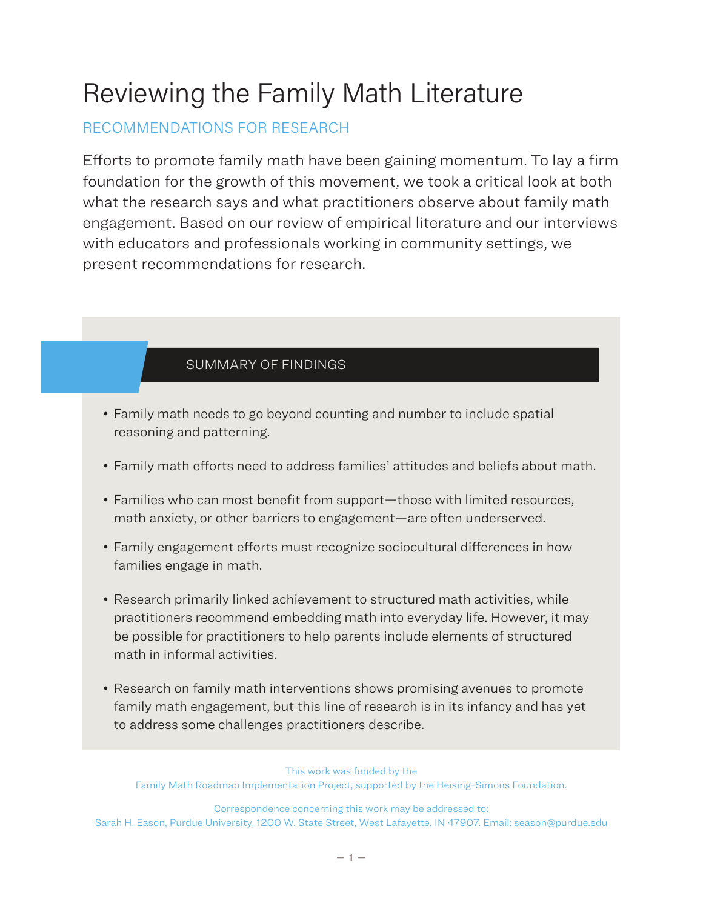# Reviewing the Family Math Literature

## RECOMMENDATIONS FOR RESEARCH

Efforts to promote family math have been gaining momentum. To lay a firm foundation for the growth of this movement, we took a critical look at both what the research says and what practitioners observe about family math engagement. Based on our review of empirical literature and our interviews with educators and professionals working in community settings, we present recommendations for research.

### SUMMARY OF FINDINGS

- Family math needs to go beyond counting and number to include spatial reasoning and patterning.
- Family math efforts need to address families' attitudes and beliefs about math.
- Families who can most benefit from support—those with limited resources, math anxiety, or other barriers to engagement—are often underserved.
- Family engagement efforts must recognize sociocultural differences in how families engage in math.
- Research primarily linked achievement to structured math activities, while practitioners recommend embedding math into everyday life. However, it may be possible for practitioners to help parents include elements of structured math in informal activities.
- Research on family math interventions shows promising avenues to promote family math engagement, but this line of research is in its infancy and has yet to address some challenges practitioners describe.

This work was funded by the Family Math Roadmap Implementation Project, supported by the Heising-Simons Foundation.

Correspondence concerning this work may be addressed to: Sarah H. Eason, Purdue University, 1200 W. State Street, West Lafayette, IN 47907. Email: season@purdue.edu